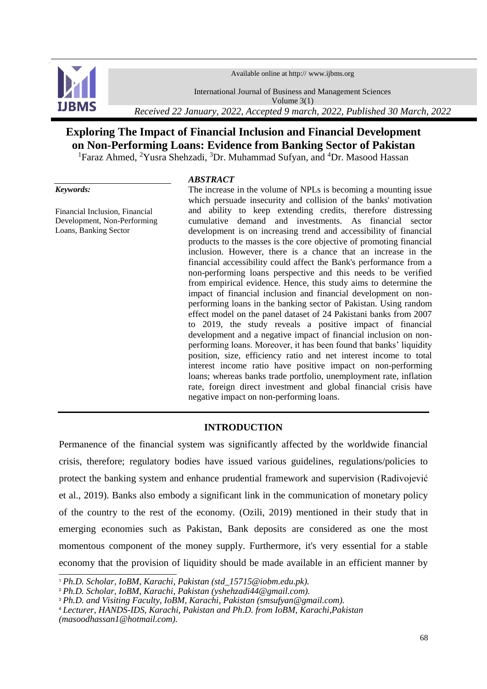Available online at http:// www.ijbms.org



International Journal of Business and Management Sciences

Volume 3(1)

*Received 22 January, 2022, Accepted 9 march, 2022, Published 30 March, 2022*

# **Exploring The Impact of Financial Inclusion and Financial Development on Non-Performing Loans: Evidence from Banking Sector of Pakistan**

<sup>1</sup>Faraz Ahmed, <sup>2</sup>Yusra Shehzadi, <sup>3</sup>Dr. Muhammad Sufyan, and <sup>4</sup>Dr. Masood Hassan

# *Keywords:*

1

Financial Inclusion, Financial Development, Non-Performing Loans, Banking Sector

#### *ABSTRACT*

The increase in the volume of NPLs is becoming a mounting issue which persuade insecurity and collision of the banks' motivation and ability to keep extending credits, therefore distressing cumulative demand and investments. As financial sector development is on increasing trend and accessibility of financial products to the masses is the core objective of promoting financial inclusion. However, there is a chance that an increase in the financial accessibility could affect the Bank's performance from a non-performing loans perspective and this needs to be verified from empirical evidence. Hence, this study aims to determine the impact of financial inclusion and financial development on nonperforming loans in the banking sector of Pakistan. Using random effect model on the panel dataset of 24 Pakistani banks from 2007 to 2019, the study reveals a positive impact of financial development and a negative impact of financial inclusion on nonperforming loans. Moreover, it has been found that banks' liquidity position, size, efficiency ratio and net interest income to total interest income ratio have positive impact on non-performing loans; whereas banks trade portfolio, unemployment rate, inflation rate, foreign direct investment and global financial crisis have negative impact on non-performing loans.

# **INTRODUCTION**

Permanence of the financial system was significantly affected by the worldwide financial crisis, therefore; regulatory bodies have issued various guidelines, regulations/policies to protect the banking system and enhance prudential framework and supervision (Radivojević et al., 2019). Banks also embody a significant link in the communication of monetary policy of the country to the rest of the economy. (Ozili, 2019) mentioned in their study that in emerging economies such as Pakistan, Bank deposits are considered as one the most momentous component of the money supply. Furthermore, it's very essential for a stable economy that the provision of liquidity should be made available in an efficient manner by

<sup>1</sup> *Ph.D. Scholar, IoBM, Karachi, Pakistan (std\_15715@iobm.edu.pk).*

<sup>2</sup> *Ph.D. Scholar, IoBM, Karachi, Pakistan (yshehzadi44@gmail.com).*

<sup>3</sup> *Ph.D. and Visiting Faculty, IoBM, Karachi, Pakistan (smsufyan@gmail.com).*

<sup>4</sup> *Lecturer, HANDS-IDS, Karachi, Pakistan and Ph.D. from IoBM, [Karachi,Pakistan](mailto:Karachi,Pakistan%20(masoodhassan1@hotmail.com)  [\(masoodhassan1@hotmail.com\)](mailto:Karachi,Pakistan%20(masoodhassan1@hotmail.com).*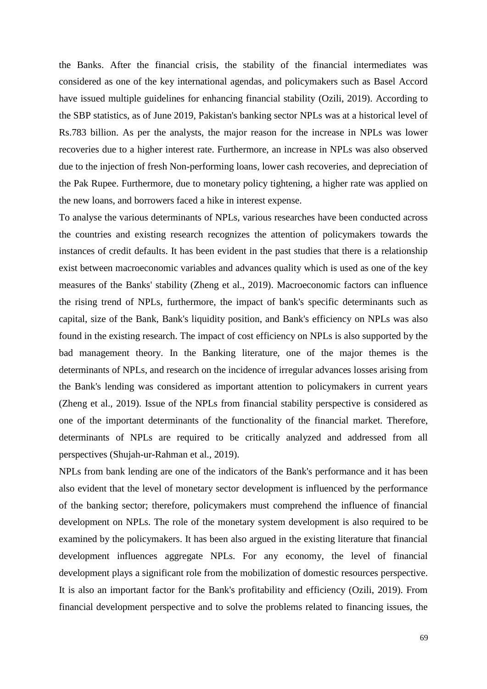the Banks. After the financial crisis, the stability of the financial intermediates was considered as one of the key international agendas, and policymakers such as Basel Accord have issued multiple guidelines for enhancing financial stability (Ozili, 2019). According to the SBP statistics, as of June 2019, Pakistan's banking sector NPLs was at a historical level of Rs.783 billion. As per the analysts, the major reason for the increase in NPLs was lower recoveries due to a higher interest rate. Furthermore, an increase in NPLs was also observed due to the injection of fresh Non-performing loans, lower cash recoveries, and depreciation of the Pak Rupee. Furthermore, due to monetary policy tightening, a higher rate was applied on the new loans, and borrowers faced a hike in interest expense.

To analyse the various determinants of NPLs, various researches have been conducted across the countries and existing research recognizes the attention of policymakers towards the instances of credit defaults. It has been evident in the past studies that there is a relationship exist between macroeconomic variables and advances quality which is used as one of the key measures of the Banks' stability (Zheng et al., 2019). Macroeconomic factors can influence the rising trend of NPLs, furthermore, the impact of bank's specific determinants such as capital, size of the Bank, Bank's liquidity position, and Bank's efficiency on NPLs was also found in the existing research. The impact of cost efficiency on NPLs is also supported by the bad management theory. In the Banking literature, one of the major themes is the determinants of NPLs, and research on the incidence of irregular advances losses arising from the Bank's lending was considered as important attention to policymakers in current years (Zheng et al., 2019). Issue of the NPLs from financial stability perspective is considered as one of the important determinants of the functionality of the financial market. Therefore, determinants of NPLs are required to be critically analyzed and addressed from all perspectives (Shujah-ur-Rahman et al., 2019).

NPLs from bank lending are one of the indicators of the Bank's performance and it has been also evident that the level of monetary sector development is influenced by the performance of the banking sector; therefore, policymakers must comprehend the influence of financial development on NPLs. The role of the monetary system development is also required to be examined by the policymakers. It has been also argued in the existing literature that financial development influences aggregate NPLs. For any economy, the level of financial development plays a significant role from the mobilization of domestic resources perspective. It is also an important factor for the Bank's profitability and efficiency (Ozili, 2019). From financial development perspective and to solve the problems related to financing issues, the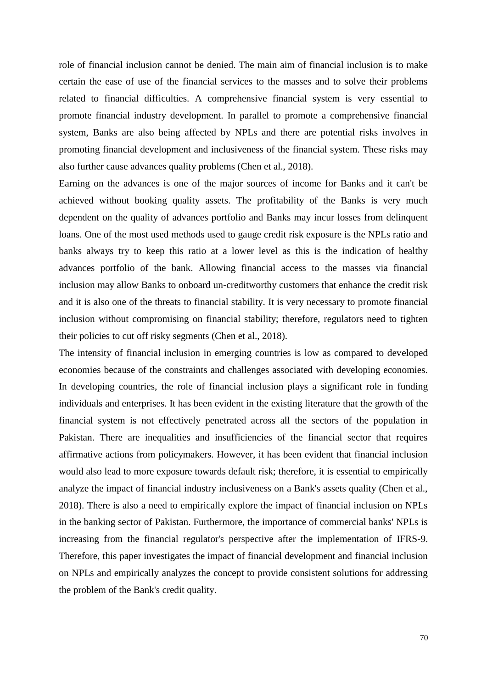role of financial inclusion cannot be denied. The main aim of financial inclusion is to make certain the ease of use of the financial services to the masses and to solve their problems related to financial difficulties. A comprehensive financial system is very essential to promote financial industry development. In parallel to promote a comprehensive financial system, Banks are also being affected by NPLs and there are potential risks involves in promoting financial development and inclusiveness of the financial system. These risks may also further cause advances quality problems (Chen et al., 2018).

Earning on the advances is one of the major sources of income for Banks and it can't be achieved without booking quality assets. The profitability of the Banks is very much dependent on the quality of advances portfolio and Banks may incur losses from delinquent loans. One of the most used methods used to gauge credit risk exposure is the NPLs ratio and banks always try to keep this ratio at a lower level as this is the indication of healthy advances portfolio of the bank. Allowing financial access to the masses via financial inclusion may allow Banks to onboard un-creditworthy customers that enhance the credit risk and it is also one of the threats to financial stability. It is very necessary to promote financial inclusion without compromising on financial stability; therefore, regulators need to tighten their policies to cut off risky segments (Chen et al., 2018).

The intensity of financial inclusion in emerging countries is low as compared to developed economies because of the constraints and challenges associated with developing economies. In developing countries, the role of financial inclusion plays a significant role in funding individuals and enterprises. It has been evident in the existing literature that the growth of the financial system is not effectively penetrated across all the sectors of the population in Pakistan. There are inequalities and insufficiencies of the financial sector that requires affirmative actions from policymakers. However, it has been evident that financial inclusion would also lead to more exposure towards default risk; therefore, it is essential to empirically analyze the impact of financial industry inclusiveness on a Bank's assets quality (Chen et al., 2018). There is also a need to empirically explore the impact of financial inclusion on NPLs in the banking sector of Pakistan. Furthermore, the importance of commercial banks' NPLs is increasing from the financial regulator's perspective after the implementation of IFRS-9. Therefore, this paper investigates the impact of financial development and financial inclusion on NPLs and empirically analyzes the concept to provide consistent solutions for addressing the problem of the Bank's credit quality.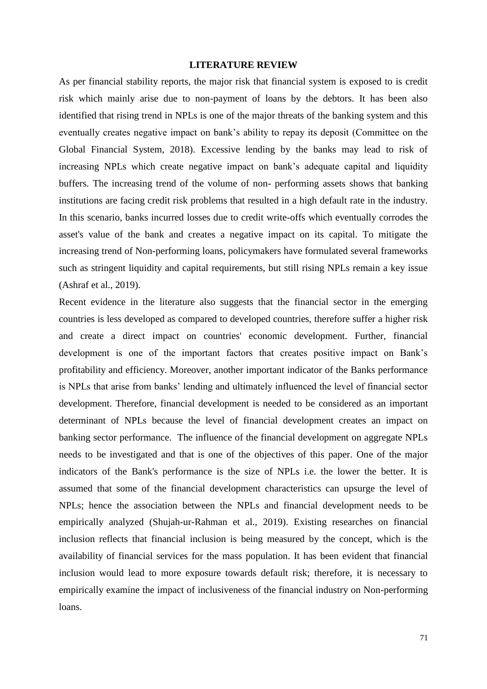#### **LITERATURE REVIEW**

As per financial stability reports, the major risk that financial system is exposed to is credit risk which mainly arise due to non-payment of loans by the debtors. It has been also identified that rising trend in NPLs is one of the major threats of the banking system and this eventually creates negative impact on bank's ability to repay its deposit (Committee on the Global Financial System, 2018). Excessive lending by the banks may lead to risk of increasing NPLs which create negative impact on bank's adequate capital and liquidity buffers. The increasing trend of the volume of non- performing assets shows that banking institutions are facing credit risk problems that resulted in a high default rate in the industry. In this scenario, banks incurred losses due to credit write-offs which eventually corrodes the asset's value of the bank and creates a negative impact on its capital. To mitigate the increasing trend of Non-performing loans, policymakers have formulated several frameworks such as stringent liquidity and capital requirements, but still rising NPLs remain a key issue (Ashraf et al., 2019).

Recent evidence in the literature also suggests that the financial sector in the emerging countries is less developed as compared to developed countries, therefore suffer a higher risk and create a direct impact on countries' economic development. Further, financial development is one of the important factors that creates positive impact on Bank's profitability and efficiency. Moreover, another important indicator of the Banks performance is NPLs that arise from banks' lending and ultimately influenced the level of financial sector development. Therefore, financial development is needed to be considered as an important determinant of NPLs because the level of financial development creates an impact on banking sector performance. The influence of the financial development on aggregate NPLs needs to be investigated and that is one of the objectives of this paper. One of the major indicators of the Bank's performance is the size of NPLs i.e. the lower the better. It is assumed that some of the financial development characteristics can upsurge the level of NPLs; hence the association between the NPLs and financial development needs to be empirically analyzed (Shujah-ur-Rahman et al., 2019). Existing researches on financial inclusion reflects that financial inclusion is being measured by the concept, which is the availability of financial services for the mass population. It has been evident that financial inclusion would lead to more exposure towards default risk; therefore, it is necessary to empirically examine the impact of inclusiveness of the financial industry on Non-performing loans.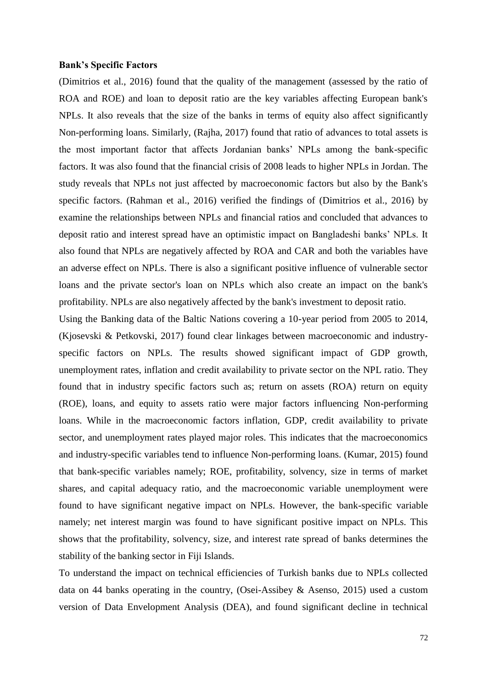#### **Bank's Specific Factors**

(Dimitrios et al., 2016) found that the quality of the management (assessed by the ratio of ROA and ROE) and loan to deposit ratio are the key variables affecting European bank's NPLs. It also reveals that the size of the banks in terms of equity also affect significantly Non-performing loans. Similarly, (Rajha, 2017) found that ratio of advances to total assets is the most important factor that affects Jordanian banks' NPLs among the bank-specific factors. It was also found that the financial crisis of 2008 leads to higher NPLs in Jordan. The study reveals that NPLs not just affected by macroeconomic factors but also by the Bank's specific factors. (Rahman et al., 2016) verified the findings of (Dimitrios et al., 2016) by examine the relationships between NPLs and financial ratios and concluded that advances to deposit ratio and interest spread have an optimistic impact on Bangladeshi banks' NPLs. It also found that NPLs are negatively affected by ROA and CAR and both the variables have an adverse effect on NPLs. There is also a significant positive influence of vulnerable sector loans and the private sector's loan on NPLs which also create an impact on the bank's profitability. NPLs are also negatively affected by the bank's investment to deposit ratio.

Using the Banking data of the Baltic Nations covering a 10-year period from 2005 to 2014, (Kjosevski & Petkovski, 2017) found clear linkages between macroeconomic and industryspecific factors on NPLs. The results showed significant impact of GDP growth, unemployment rates, inflation and credit availability to private sector on the NPL ratio. They found that in industry specific factors such as; return on assets (ROA) return on equity (ROE), loans, and equity to assets ratio were major factors influencing Non-performing loans. While in the macroeconomic factors inflation, GDP, credit availability to private sector, and unemployment rates played major roles. This indicates that the macroeconomics and industry-specific variables tend to influence Non-performing loans. (Kumar, 2015) found that bank-specific variables namely; ROE, profitability, solvency, size in terms of market shares, and capital adequacy ratio, and the macroeconomic variable unemployment were found to have significant negative impact on NPLs. However, the bank-specific variable namely; net interest margin was found to have significant positive impact on NPLs. This shows that the profitability, solvency, size, and interest rate spread of banks determines the stability of the banking sector in Fiji Islands.

To understand the impact on technical efficiencies of Turkish banks due to NPLs collected data on 44 banks operating in the country, (Osei-Assibey & Asenso, 2015) used a custom version of Data Envelopment Analysis (DEA), and found significant decline in technical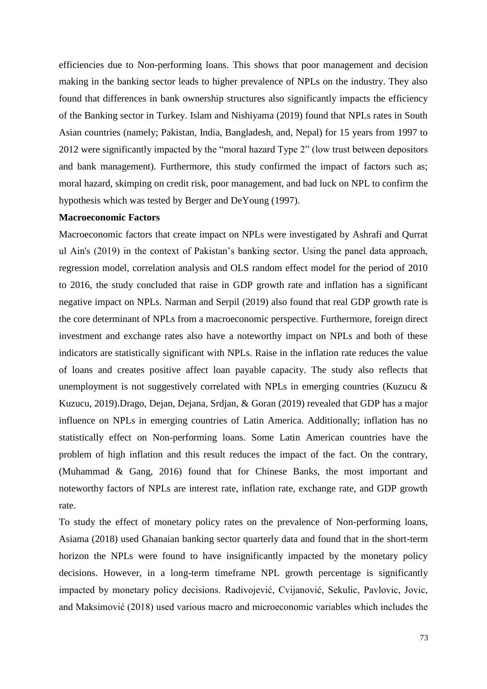efficiencies due to Non-performing loans. This shows that poor management and decision making in the banking sector leads to higher prevalence of NPLs on the industry. They also found that differences in bank ownership structures also significantly impacts the efficiency of the Banking sector in Turkey. Islam and Nishiyama (2019) found that NPLs rates in South Asian countries (namely; Pakistan, India, Bangladesh, and, Nepal) for 15 years from 1997 to 2012 were significantly impacted by the "moral hazard Type 2" (low trust between depositors and bank management). Furthermore, this study confirmed the impact of factors such as; moral hazard, skimping on credit risk, poor management, and bad luck on NPL to confirm the hypothesis which was tested by Berger and DeYoung (1997).

### **Macroeconomic Factors**

Macroeconomic factors that create impact on NPLs were investigated by Ashrafi and Qurrat ul Ain's (2019) in the context of Pakistan's banking sector. Using the panel data approach, regression model, correlation analysis and OLS random effect model for the period of 2010 to 2016, the study concluded that raise in GDP growth rate and inflation has a significant negative impact on NPLs. Narman and Serpil (2019) also found that real GDP growth rate is the core determinant of NPLs from a macroeconomic perspective. Furthermore, foreign direct investment and exchange rates also have a noteworthy impact on NPLs and both of these indicators are statistically significant with NPLs. Raise in the inflation rate reduces the value of loans and creates positive affect loan payable capacity. The study also reflects that unemployment is not suggestively correlated with NPLs in emerging countries (Kuzucu & Kuzucu, 2019).Drago, Dejan, Dejana, Srdjan, & Goran (2019) revealed that GDP has a major influence on NPLs in emerging countries of Latin America. Additionally; inflation has no statistically effect on Non-performing loans. Some Latin American countries have the problem of high inflation and this result reduces the impact of the fact. On the contrary, (Muhammad & Gang, 2016) found that for Chinese Banks, the most important and noteworthy factors of NPLs are interest rate, inflation rate, exchange rate, and GDP growth rate.

To study the effect of monetary policy rates on the prevalence of Non-performing loans, Asiama (2018) used Ghanaian banking sector quarterly data and found that in the short-term horizon the NPLs were found to have insignificantly impacted by the monetary policy decisions. However, in a long-term timeframe NPL growth percentage is significantly impacted by monetary policy decisions. Radivojević, Cvijanović, Sekulic, Pavlovic, Jovic, and Maksimović (2018) used various macro and microeconomic variables which includes the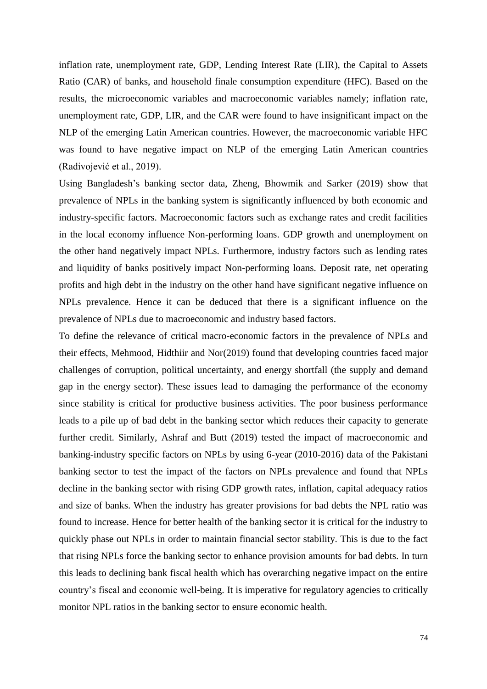inflation rate, unemployment rate, GDP, Lending Interest Rate (LIR), the Capital to Assets Ratio (CAR) of banks, and household finale consumption expenditure (HFC). Based on the results, the microeconomic variables and macroeconomic variables namely; inflation rate, unemployment rate, GDP, LIR, and the CAR were found to have insignificant impact on the NLP of the emerging Latin American countries. However, the macroeconomic variable HFC was found to have negative impact on NLP of the emerging Latin American countries (Radivojević et al., 2019).

Using Bangladesh's banking sector data, Zheng, Bhowmik and Sarker (2019) show that prevalence of NPLs in the banking system is significantly influenced by both economic and industry-specific factors. Macroeconomic factors such as exchange rates and credit facilities in the local economy influence Non-performing loans. GDP growth and unemployment on the other hand negatively impact NPLs. Furthermore, industry factors such as lending rates and liquidity of banks positively impact Non-performing loans. Deposit rate, net operating profits and high debt in the industry on the other hand have significant negative influence on NPLs prevalence. Hence it can be deduced that there is a significant influence on the prevalence of NPLs due to macroeconomic and industry based factors.

To define the relevance of critical macro-economic factors in the prevalence of NPLs and their effects, Mehmood, Hidthiir and Nor(2019) found that developing countries faced major challenges of corruption, political uncertainty, and energy shortfall (the supply and demand gap in the energy sector). These issues lead to damaging the performance of the economy since stability is critical for productive business activities. The poor business performance leads to a pile up of bad debt in the banking sector which reduces their capacity to generate further credit. Similarly, Ashraf and Butt (2019) tested the impact of macroeconomic and banking-industry specific factors on NPLs by using 6-year (2010-2016) data of the Pakistani banking sector to test the impact of the factors on NPLs prevalence and found that NPLs decline in the banking sector with rising GDP growth rates, inflation, capital adequacy ratios and size of banks. When the industry has greater provisions for bad debts the NPL ratio was found to increase. Hence for better health of the banking sector it is critical for the industry to quickly phase out NPLs in order to maintain financial sector stability. This is due to the fact that rising NPLs force the banking sector to enhance provision amounts for bad debts. In turn this leads to declining bank fiscal health which has overarching negative impact on the entire country's fiscal and economic well-being. It is imperative for regulatory agencies to critically monitor NPL ratios in the banking sector to ensure economic health.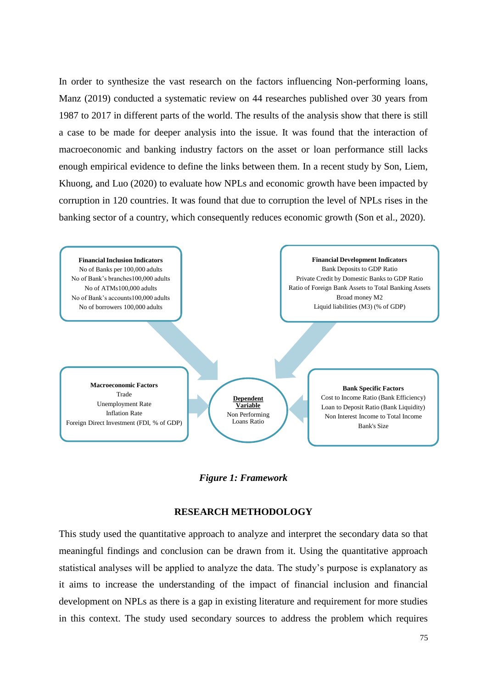In order to synthesize the vast research on the factors influencing Non-performing loans, Manz (2019) conducted a systematic review on 44 researches published over 30 years from 1987 to 2017 in different parts of the world. The results of the analysis show that there is still a case to be made for deeper analysis into the issue. It was found that the interaction of macroeconomic and banking industry factors on the asset or loan performance still lacks enough empirical evidence to define the links between them. In a recent study by Son, Liem, Khuong, and Luo (2020) to evaluate how NPLs and economic growth have been impacted by corruption in 120 countries. It was found that due to corruption the level of NPLs rises in the banking sector of a country, which consequently reduces economic growth (Son et al., 2020).



*Figure 1: Framework*

## **RESEARCH METHODOLOGY**

This study used the quantitative approach to analyze and interpret the secondary data so that meaningful findings and conclusion can be drawn from it. Using the quantitative approach statistical analyses will be applied to analyze the data. The study's purpose is explanatory as it aims to increase the understanding of the impact of financial inclusion and financial development on NPLs as there is a gap in existing literature and requirement for more studies in this context. The study used secondary sources to address the problem which requires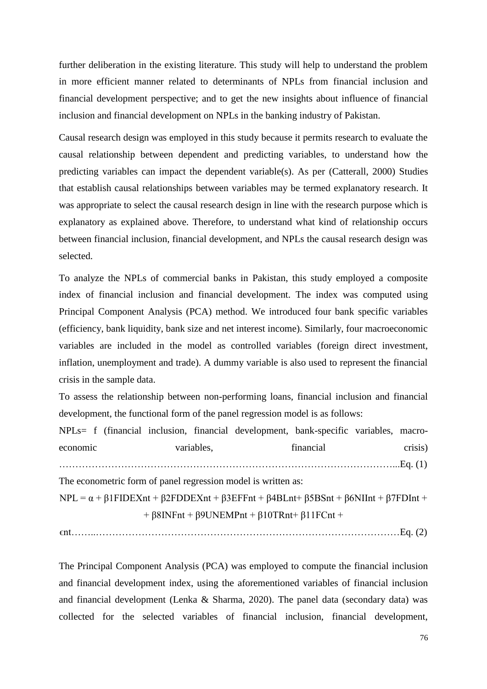further deliberation in the existing literature. This study will help to understand the problem in more efficient manner related to determinants of NPLs from financial inclusion and financial development perspective; and to get the new insights about influence of financial inclusion and financial development on NPLs in the banking industry of Pakistan.

Causal research design was employed in this study because it permits research to evaluate the causal relationship between dependent and predicting variables, to understand how the predicting variables can impact the dependent variable(s). As per (Catterall, 2000) Studies that establish causal relationships between variables may be termed explanatory research. It was appropriate to select the causal research design in line with the research purpose which is explanatory as explained above. Therefore, to understand what kind of relationship occurs between financial inclusion, financial development, and NPLs the causal research design was selected.

To analyze the NPLs of commercial banks in Pakistan, this study employed a composite index of financial inclusion and financial development. The index was computed using Principal Component Analysis (PCA) method. We introduced four bank specific variables (efficiency, bank liquidity, bank size and net interest income). Similarly, four macroeconomic variables are included in the model as controlled variables (foreign direct investment, inflation, unemployment and trade). A dummy variable is also used to represent the financial crisis in the sample data.

To assess the relationship between non-performing loans, financial inclusion and financial development, the functional form of the panel regression model is as follows:

```
NPLs= f (financial inclusion, financial development, bank-specific variables, macro-
economic variables, financial crisis)
      …………………………………………………………………………………………...Eq. (1)
The econometric form of panel regression model is written as:
NPL = \alpha + β1FIDEXnt + β2FDDEXnt + β3EFFnt + β4BLnt+ β5BSnt + β6NIInt + β7FDInt +
                + \beta 8INFnt + \beta 9UNEMPnt + \beta 10TRnt + \beta 11FCnt +
```

```
ϵnt……..…………………………………………………………………………………Eq. (2)
```
The Principal Component Analysis (PCA) was employed to compute the financial inclusion and financial development index, using the aforementioned variables of financial inclusion and financial development (Lenka & Sharma, 2020). The panel data (secondary data) was collected for the selected variables of financial inclusion, financial development,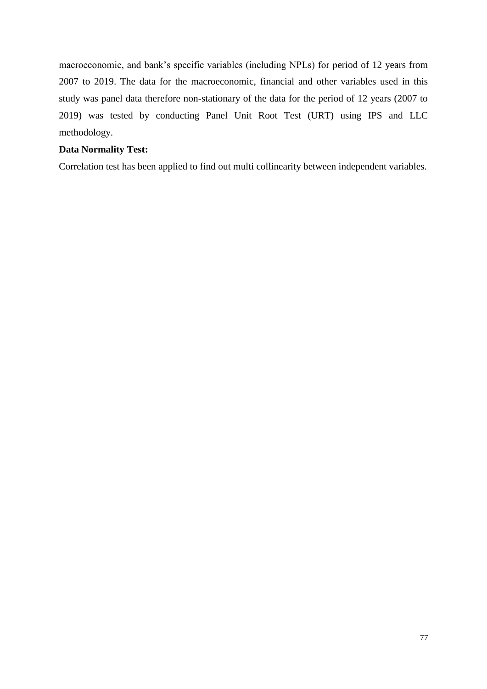macroeconomic, and bank's specific variables (including NPLs) for period of 12 years from 2007 to 2019. The data for the macroeconomic, financial and other variables used in this study was panel data therefore non-stationary of the data for the period of 12 years (2007 to 2019) was tested by conducting Panel Unit Root Test (URT) using IPS and LLC methodology.

# **Data Normality Test:**

Correlation test has been applied to find out multi collinearity between independent variables.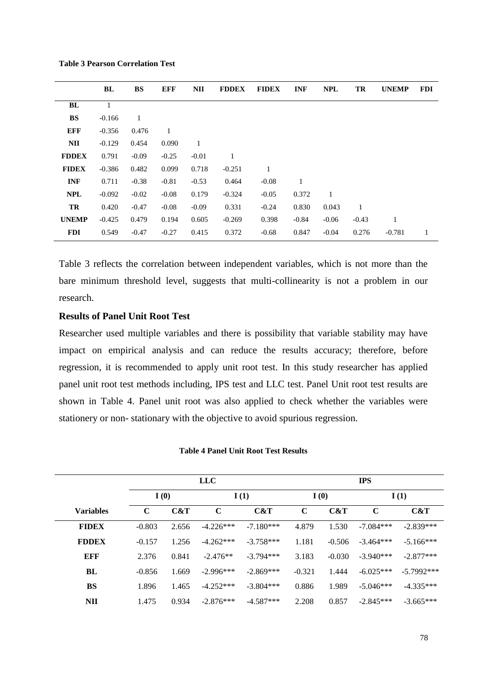|              | BL       | BS           | <b>EFF</b>   | NII          | <b>FDDEX</b> | <b>FIDEX</b> | <b>INF</b>   | <b>NPL</b> | TR      | <b>UNEMP</b> | <b>FDI</b> |
|--------------|----------|--------------|--------------|--------------|--------------|--------------|--------------|------------|---------|--------------|------------|
| BL           | 1        |              |              |              |              |              |              |            |         |              |            |
| <b>BS</b>    | $-0.166$ | $\mathbf{1}$ |              |              |              |              |              |            |         |              |            |
| <b>EFF</b>   | $-0.356$ | 0.476        | $\mathbf{1}$ |              |              |              |              |            |         |              |            |
| NII          | $-0.129$ | 0.454        | 0.090        | $\mathbf{1}$ |              |              |              |            |         |              |            |
| <b>FDDEX</b> | 0.791    | $-0.09$      | $-0.25$      | $-0.01$      | $\mathbf{1}$ |              |              |            |         |              |            |
| <b>FIDEX</b> | $-0.386$ | 0.482        | 0.099        | 0.718        | $-0.251$     | 1            |              |            |         |              |            |
| <b>INF</b>   | 0.711    | $-0.38$      | $-0.81$      | $-0.53$      | 0.464        | $-0.08$      | $\mathbf{1}$ |            |         |              |            |
| <b>NPL</b>   | $-0.092$ | $-0.02$      | $-0.08$      | 0.179        | $-0.324$     | $-0.05$      | 0.372        | 1          |         |              |            |
| TR           | 0.420    | $-0.47$      | $-0.08$      | $-0.09$      | 0.331        | $-0.24$      | 0.830        | 0.043      | 1       |              |            |
| <b>UNEMP</b> | $-0.425$ | 0.479        | 0.194        | 0.605        | $-0.269$     | 0.398        | $-0.84$      | $-0.06$    | $-0.43$ | 1            |            |
| <b>FDI</b>   | 0.549    | $-0.47$      | $-0.27$      | 0.415        | 0.372        | $-0.68$      | 0.847        | $-0.04$    | 0.276   | $-0.781$     | 1          |

**Table 3 Pearson Correlation Test**

Table 3 reflects the correlation between independent variables, which is not more than the bare minimum threshold level, suggests that multi-collinearity is not a problem in our research.

# **Results of Panel Unit Root Test**

Researcher used multiple variables and there is possibility that variable stability may have impact on empirical analysis and can reduce the results accuracy; therefore, before regression, it is recommended to apply unit root test. In this study researcher has applied panel unit root test methods including, IPS test and LLC test. Panel Unit root test results are shown in Table 4. Panel unit root was also applied to check whether the variables were stationery or non- stationary with the objective to avoid spurious regression.

|                  | <b>LLC</b>  |       |             |             | <b>IPS</b>  |          |             |              |
|------------------|-------------|-------|-------------|-------------|-------------|----------|-------------|--------------|
|                  | I(0)        |       | I(1)        |             | I(0)        |          | I(1)        |              |
| <b>Variables</b> | $\mathbf C$ | C&T   | $\mathbf C$ | C&T         | $\mathbf C$ | C&T      | $\mathbf C$ | C&T          |
| <b>FIDEX</b>     | $-0.803$    | 2.656 | $-4.226***$ | $-7.180***$ | 4.879       | 1.530    | $-7.084***$ | $-2.839***$  |
| <b>FDDEX</b>     | $-0.157$    | 1.256 | $-4.262***$ | $-3.758***$ | 1.181       | $-0.506$ | $-3.464***$ | $-5.166***$  |
| EFF              | 2.376       | 0.841 | $-2.476**$  | $-3.794***$ | 3.183       | $-0.030$ | $-3.940***$ | $-2.877***$  |
| BL               | $-0.856$    | 1.669 | $-2.996***$ | $-2.869***$ | $-0.321$    | 1.444    | $-6.025***$ | $-5.7992***$ |
| <b>BS</b>        | 1.896       | 1.465 | $-4.252***$ | $-3.804***$ | 0.886       | 1.989    | $-5.046***$ | $-4.335***$  |
| <b>NII</b>       | 1.475       | 0.934 | $-2.876***$ | $-4.587***$ | 2.208       | 0.857    | $-2.845***$ | $-3.665***$  |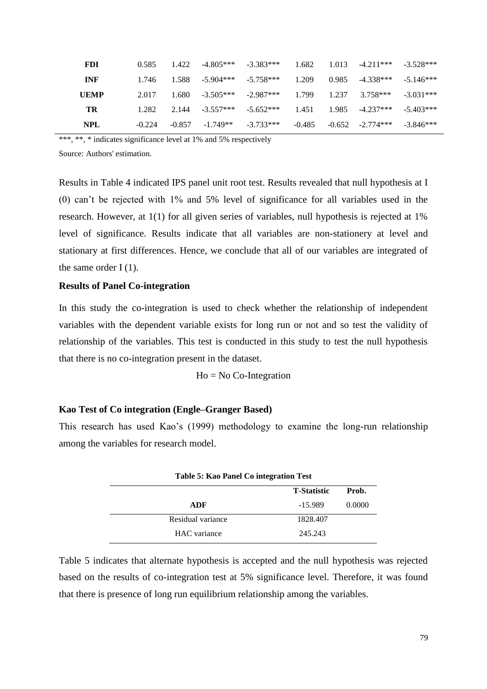| <b>FDI</b>  | 0.585    | 1.422    | $-4.805***$             | $-3.383***$ | 1.682    | 1.013    | $-4.211***$ $-3.528***$ |             |
|-------------|----------|----------|-------------------------|-------------|----------|----------|-------------------------|-------------|
| <b>INF</b>  | 1.746    | 1.588    | $-5.904***$ $-5.758***$ |             | 1.209    | 0.985    | -4.338***               | $-5.146***$ |
| <b>UEMP</b> | 2.017    | 1.680    | $-3.505***$             | $-2.987***$ | 1.799    | 1.237    | 3.758***                | $-3.031***$ |
| TR          | 1.282    | 2.144    | $-3.557***$             | $-5.652***$ | 1.451    | 1.985    | $-4.237***$             | $-5.403***$ |
| NPL.        | $-0.224$ | $-0.857$ | $-1.749**$              | $-3.733***$ | $-0.485$ | $-0.652$ | $-2.774***$             | $-3.846***$ |

\*\*\*, \*\*, \* indicates significance level at 1% and 5% respectively

Source: Authors' estimation.

Results in Table 4 indicated IPS panel unit root test. Results revealed that null hypothesis at I (0) can't be rejected with 1% and 5% level of significance for all variables used in the research. However, at 1(1) for all given series of variables, null hypothesis is rejected at 1% level of significance. Results indicate that all variables are non-stationery at level and stationary at first differences. Hence, we conclude that all of our variables are integrated of the same order  $I(1)$ .

## **Results of Panel Co-integration**

In this study the co-integration is used to check whether the relationship of independent variables with the dependent variable exists for long run or not and so test the validity of relationship of the variables. This test is conducted in this study to test the null hypothesis that there is no co-integration present in the dataset.

#### Ho = No Co-Integration

# **Kao Test of Co integration (Engle–Granger Based)**

<span id="page-11-0"></span>This research has used Kao's (1999) methodology to examine the long-run relationship among the variables for research model.

| Table 5: Kao Panel Co integration Test |                    |        |  |  |  |  |
|----------------------------------------|--------------------|--------|--|--|--|--|
|                                        | <b>T-Statistic</b> | Prob.  |  |  |  |  |
| ADF                                    | -15.989            | 0.0000 |  |  |  |  |
| Residual variance                      | 1828.407           |        |  |  |  |  |
| HAC variance                           | 245.243            |        |  |  |  |  |

[Table 5](#page-11-0) indicates that alternate hypothesis is accepted and the null hypothesis was rejected based on the results of co-integration test at 5% significance level. Therefore, it was found that there is presence of long run equilibrium relationship among the variables.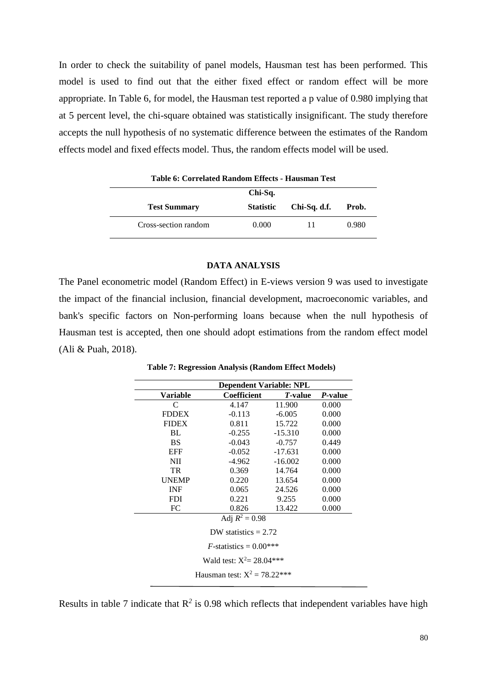In order to check the suitability of panel models, Hausman test has been performed. This model is used to find out that the either fixed effect or random effect will be more appropriate. In [Table 6](#page-12-0), for model, the Hausman test reported a p value of 0.980 implying that at 5 percent level, the chi-square obtained was statistically insignificant. The study therefore accepts the null hypothesis of no systematic difference between the estimates of the Random effects model and fixed effects model. Thus, the random effects model will be used.

<span id="page-12-0"></span>

| таріс от согтемеса ганіарії Енесіз - тіаазінан тем |                  |              |       |  |  |  |  |
|----------------------------------------------------|------------------|--------------|-------|--|--|--|--|
|                                                    | Chi-Sq.          |              |       |  |  |  |  |
| <b>Test Summary</b>                                | <b>Statistic</b> | Chi-Sq. d.f. | Prob. |  |  |  |  |
| Cross-section random                               | 0.000            | 11           | 0.980 |  |  |  |  |

**Table 6: Correlated Random Effects - Hausman Test**

## **DATA ANALYSIS**

The Panel econometric model (Random Effect) in E-views version 9 was used to investigate the impact of the financial inclusion, financial development, macroeconomic variables, and bank's specific factors on Non-performing loans because when the null hypothesis of Hausman test is accepted, then one should adopt estimations from the random effect model (Ali & Puah, 2018).

<span id="page-12-1"></span>

|                             | <b>Dependent Variable: NPL</b> |                 |                 |  |  |  |  |
|-----------------------------|--------------------------------|-----------------|-----------------|--|--|--|--|
| Variable                    | <b>Coefficient</b>             | <i>T</i> -value | <i>P</i> -value |  |  |  |  |
| C                           | 4.147                          | 11.900          | 0.000           |  |  |  |  |
| <b>FDDEX</b>                | $-0.113$                       | $-6.005$        | 0.000           |  |  |  |  |
| <b>FIDEX</b>                | 0.811                          | 15.722          | 0.000           |  |  |  |  |
| BL.                         | $-0.255$                       | $-15.310$       | 0.000           |  |  |  |  |
| <b>BS</b>                   | $-0.043$                       | $-0.757$        | 0.449           |  |  |  |  |
| <b>EFF</b>                  | $-0.052$                       | $-17.631$       | 0.000           |  |  |  |  |
| <b>NII</b>                  | $-4.962$                       | $-16.002$       | 0.000           |  |  |  |  |
| TR                          | 0.369                          | 14.764          | 0.000           |  |  |  |  |
| <b>UNEMP</b>                | 0.220                          | 13.654          | 0.000           |  |  |  |  |
| <b>INF</b>                  | 0.065                          | 24.526          | 0.000           |  |  |  |  |
| <b>FDI</b>                  | 0.221                          | 9.255           | 0.000           |  |  |  |  |
| FC                          | 0.826                          | 13.422          | 0.000           |  |  |  |  |
|                             | Adj $R^2 = 0.98$               |                 |                 |  |  |  |  |
| DW statistics $= 2.72$      |                                |                 |                 |  |  |  |  |
| $F$ -statistics = 0.00***   |                                |                 |                 |  |  |  |  |
| Wald test: $X^2 = 28.04***$ |                                |                 |                 |  |  |  |  |
|                             | Hausman test: $X^2 = 78.22***$ |                 |                 |  |  |  |  |

**Table 7: Regression Analysis (Random Effect Models)**

Results in [table 7](#page-12-1) indicate that  $R^2$  is 0.98 which reflects that independent variables have high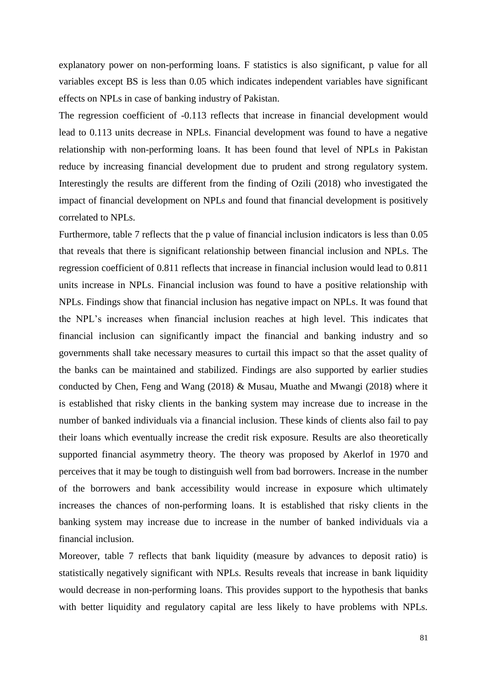explanatory power on non-performing loans. F statistics is also significant, p value for all variables except BS is less than 0.05 which indicates independent variables have significant effects on NPLs in case of banking industry of Pakistan.

The regression coefficient of -0.113 reflects that increase in financial development would lead to 0.113 units decrease in NPLs. Financial development was found to have a negative relationship with non-performing loans. It has been found that level of NPLs in Pakistan reduce by increasing financial development due to prudent and strong regulatory system. Interestingly the results are different from the finding of Ozili (2018) who investigated the impact of financial development on NPLs and found that financial development is positively correlated to NPLs.

Furthermore, table 7 reflects that the p value of financial inclusion indicators is less than 0.05 that reveals that there is significant relationship between financial inclusion and NPLs. The regression coefficient of 0.811 reflects that increase in financial inclusion would lead to 0.811 units increase in NPLs. Financial inclusion was found to have a positive relationship with NPLs. Findings show that financial inclusion has negative impact on NPLs. It was found that the NPL's increases when financial inclusion reaches at high level. This indicates that financial inclusion can significantly impact the financial and banking industry and so governments shall take necessary measures to curtail this impact so that the asset quality of the banks can be maintained and stabilized. Findings are also supported by earlier studies conducted by Chen, Feng and Wang (2018) & Musau, Muathe and Mwangi (2018) where it is established that risky clients in the banking system may increase due to increase in the number of banked individuals via a financial inclusion. These kinds of clients also fail to pay their loans which eventually increase the credit risk exposure. Results are also theoretically supported financial asymmetry theory. The theory was proposed by Akerlof in 1970 and perceives that it may be tough to distinguish well from bad borrowers. Increase in the number of the borrowers and bank accessibility would increase in exposure which ultimately increases the chances of non-performing loans. It is established that risky clients in the banking system may increase due to increase in the number of banked individuals via a financial inclusion.

Moreover, table 7 reflects that bank liquidity (measure by advances to deposit ratio) is statistically negatively significant with NPLs. Results reveals that increase in bank liquidity would decrease in non-performing loans. This provides support to the hypothesis that banks with better liquidity and regulatory capital are less likely to have problems with NPLs.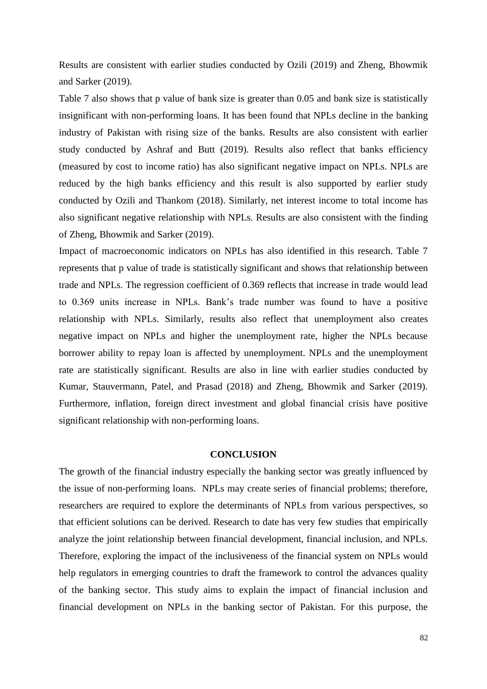Results are consistent with earlier studies conducted by Ozili (2019) and Zheng, Bhowmik and Sarker (2019).

Table 7 also shows that p value of bank size is greater than 0.05 and bank size is statistically insignificant with non-performing loans. It has been found that NPLs decline in the banking industry of Pakistan with rising size of the banks. Results are also consistent with earlier study conducted by Ashraf and Butt (2019). Results also reflect that banks efficiency (measured by cost to income ratio) has also significant negative impact on NPLs. NPLs are reduced by the high banks efficiency and this result is also supported by earlier study conducted by Ozili and Thankom (2018). Similarly, net interest income to total income has also significant negative relationship with NPLs. Results are also consistent with the finding of Zheng, Bhowmik and Sarker (2019).

Impact of macroeconomic indicators on NPLs has also identified in this research. Table 7 represents that p value of trade is statistically significant and shows that relationship between trade and NPLs. The regression coefficient of 0.369 reflects that increase in trade would lead to 0.369 units increase in NPLs. Bank's trade number was found to have a positive relationship with NPLs. Similarly, results also reflect that unemployment also creates negative impact on NPLs and higher the unemployment rate, higher the NPLs because borrower ability to repay loan is affected by unemployment. NPLs and the unemployment rate are statistically significant. Results are also in line with earlier studies conducted by Kumar, Stauvermann, Patel, and Prasad (2018) and Zheng, Bhowmik and Sarker (2019). Furthermore, inflation, foreign direct investment and global financial crisis have positive significant relationship with non-performing loans.

### **CONCLUSION**

The growth of the financial industry especially the banking sector was greatly influenced by the issue of non-performing loans. NPLs may create series of financial problems; therefore, researchers are required to explore the determinants of NPLs from various perspectives, so that efficient solutions can be derived. Research to date has very few studies that empirically analyze the joint relationship between financial development, financial inclusion, and NPLs. Therefore, exploring the impact of the inclusiveness of the financial system on NPLs would help regulators in emerging countries to draft the framework to control the advances quality of the banking sector. This study aims to explain the impact of financial inclusion and financial development on NPLs in the banking sector of Pakistan. For this purpose, the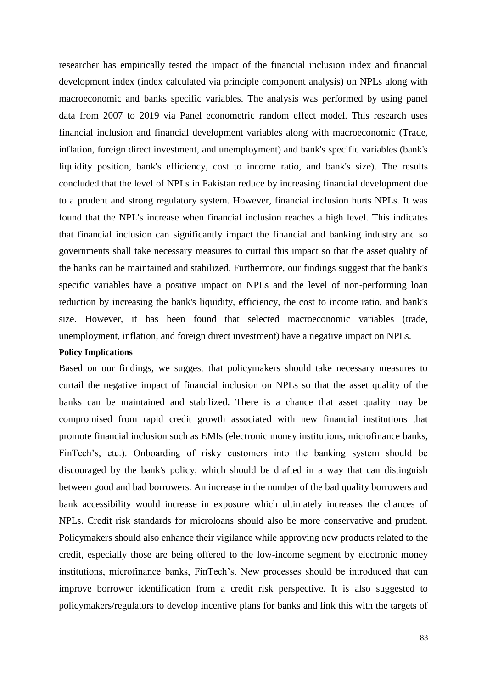researcher has empirically tested the impact of the financial inclusion index and financial development index (index calculated via principle component analysis) on NPLs along with macroeconomic and banks specific variables. The analysis was performed by using panel data from 2007 to 2019 via Panel econometric random effect model. This research uses financial inclusion and financial development variables along with macroeconomic (Trade, inflation, foreign direct investment, and unemployment) and bank's specific variables (bank's liquidity position, bank's efficiency, cost to income ratio, and bank's size). The results concluded that the level of NPLs in Pakistan reduce by increasing financial development due to a prudent and strong regulatory system. However, financial inclusion hurts NPLs. It was found that the NPL's increase when financial inclusion reaches a high level. This indicates that financial inclusion can significantly impact the financial and banking industry and so governments shall take necessary measures to curtail this impact so that the asset quality of the banks can be maintained and stabilized. Furthermore, our findings suggest that the bank's specific variables have a positive impact on NPLs and the level of non-performing loan reduction by increasing the bank's liquidity, efficiency, the cost to income ratio, and bank's size. However, it has been found that selected macroeconomic variables (trade, unemployment, inflation, and foreign direct investment) have a negative impact on NPLs.

#### **Policy Implications**

Based on our findings, we suggest that policymakers should take necessary measures to curtail the negative impact of financial inclusion on NPLs so that the asset quality of the banks can be maintained and stabilized. There is a chance that asset quality may be compromised from rapid credit growth associated with new financial institutions that promote financial inclusion such as EMIs (electronic money institutions, microfinance banks, FinTech's, etc.). Onboarding of risky customers into the banking system should be discouraged by the bank's policy; which should be drafted in a way that can distinguish between good and bad borrowers. An increase in the number of the bad quality borrowers and bank accessibility would increase in exposure which ultimately increases the chances of NPLs. Credit risk standards for microloans should also be more conservative and prudent. Policymakers should also enhance their vigilance while approving new products related to the credit, especially those are being offered to the low-income segment by electronic money institutions, microfinance banks, FinTech's. New processes should be introduced that can improve borrower identification from a credit risk perspective. It is also suggested to policymakers/regulators to develop incentive plans for banks and link this with the targets of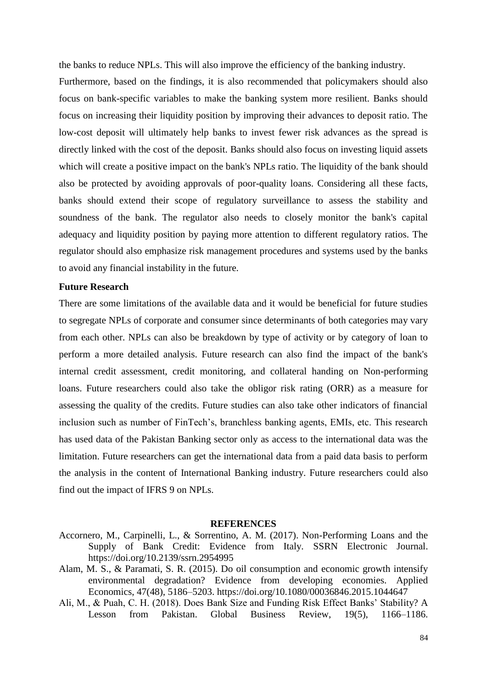the banks to reduce NPLs. This will also improve the efficiency of the banking industry.

Furthermore, based on the findings, it is also recommended that policymakers should also focus on bank-specific variables to make the banking system more resilient. Banks should focus on increasing their liquidity position by improving their advances to deposit ratio. The low-cost deposit will ultimately help banks to invest fewer risk advances as the spread is directly linked with the cost of the deposit. Banks should also focus on investing liquid assets which will create a positive impact on the bank's NPLs ratio. The liquidity of the bank should also be protected by avoiding approvals of poor-quality loans. Considering all these facts, banks should extend their scope of regulatory surveillance to assess the stability and soundness of the bank. The regulator also needs to closely monitor the bank's capital adequacy and liquidity position by paying more attention to different regulatory ratios. The regulator should also emphasize risk management procedures and systems used by the banks to avoid any financial instability in the future.

### **Future Research**

There are some limitations of the available data and it would be beneficial for future studies to segregate NPLs of corporate and consumer since determinants of both categories may vary from each other. NPLs can also be breakdown by type of activity or by category of loan to perform a more detailed analysis. Future research can also find the impact of the bank's internal credit assessment, credit monitoring, and collateral handing on Non-performing loans. Future researchers could also take the obligor risk rating (ORR) as a measure for assessing the quality of the credits. Future studies can also take other indicators of financial inclusion such as number of FinTech's, branchless banking agents, EMIs, etc. This research has used data of the Pakistan Banking sector only as access to the international data was the limitation. Future researchers can get the international data from a paid data basis to perform the analysis in the content of International Banking industry. Future researchers could also find out the impact of IFRS 9 on NPLs.

#### **REFERENCES**

- Accornero, M., Carpinelli, L., & Sorrentino, A. M. (2017). Non-Performing Loans and the Supply of Bank Credit: Evidence from Italy. SSRN Electronic Journal. https://doi.org/10.2139/ssrn.2954995
- Alam, M. S., & Paramati, S. R. (2015). Do oil consumption and economic growth intensify environmental degradation? Evidence from developing economies. Applied Economics, 47(48), 5186–5203. https://doi.org/10.1080/00036846.2015.1044647
- Ali, M., & Puah, C. H. (2018). Does Bank Size and Funding Risk Effect Banks' Stability? A Lesson from Pakistan. Global Business Review, 19(5), 1166–1186.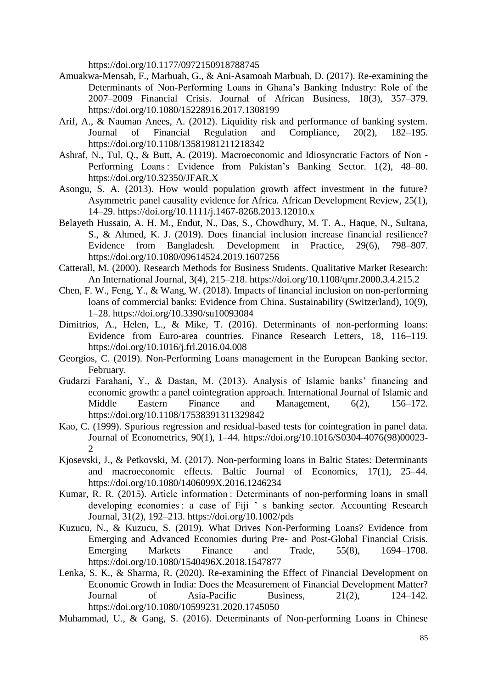https://doi.org/10.1177/0972150918788745

- Amuakwa-Mensah, F., Marbuah, G., & Ani-Asamoah Marbuah, D. (2017). Re-examining the Determinants of Non-Performing Loans in Ghana's Banking Industry: Role of the 2007–2009 Financial Crisis. Journal of African Business, 18(3), 357–379. https://doi.org/10.1080/15228916.2017.1308199
- Arif, A., & Nauman Anees, A. (2012). Liquidity risk and performance of banking system. Journal of Financial Regulation and Compliance, 20(2), 182–195. https://doi.org/10.1108/13581981211218342
- Ashraf, N., Tul, Q., & Butt, A. (2019). Macroeconomic and Idiosyncratic Factors of Non Performing Loans : Evidence from Pakistan's Banking Sector. 1(2), 48–80. https://doi.org/10.32350/JFAR.X
- Asongu, S. A. (2013). How would population growth affect investment in the future? Asymmetric panel causality evidence for Africa. African Development Review, 25(1), 14–29. https://doi.org/10.1111/j.1467-8268.2013.12010.x
- Belayeth Hussain, A. H. M., Endut, N., Das, S., Chowdhury, M. T. A., Haque, N., Sultana, S., & Ahmed, K. J. (2019). Does financial inclusion increase financial resilience? Evidence from Bangladesh. Development in Practice, 29(6), 798–807. https://doi.org/10.1080/09614524.2019.1607256
- Catterall, M. (2000). Research Methods for Business Students. Qualitative Market Research: An International Journal, 3(4), 215–218. https://doi.org/10.1108/qmr.2000.3.4.215.2
- Chen, F. W., Feng, Y., & Wang, W. (2018). Impacts of financial inclusion on non-performing loans of commercial banks: Evidence from China. Sustainability (Switzerland), 10(9), 1–28. https://doi.org/10.3390/su10093084
- Dimitrios, A., Helen, L., & Mike, T. (2016). Determinants of non-performing loans: Evidence from Euro-area countries. Finance Research Letters, 18, 116–119. https://doi.org/10.1016/j.frl.2016.04.008
- Georgios, C. (2019). Non-Performing Loans management in the European Banking sector. February.
- Gudarzi Farahani, Y., & Dastan, M. (2013). Analysis of Islamic banks' financing and economic growth: a panel cointegration approach. International Journal of Islamic and Middle Eastern Finance and Management, 6(2), 156–172. https://doi.org/10.1108/17538391311329842
- Kao, C. (1999). Spurious regression and residual-based tests for cointegration in panel data. Journal of Econometrics, 90(1), 1–44. https://doi.org/10.1016/S0304-4076(98)00023-  $\mathcal{D}$
- Kjosevski, J., & Petkovski, M. (2017). Non-performing loans in Baltic States: Determinants and macroeconomic effects. Baltic Journal of Economics, 17(1), 25–44. https://doi.org/10.1080/1406099X.2016.1246234
- Kumar, R. R. (2015). Article information : Determinants of non-performing loans in small developing economies : a case of Fiji ' s banking sector. Accounting Research Journal, 31(2), 192–213. https://doi.org/10.1002/pds
- Kuzucu, N., & Kuzucu, S. (2019). What Drives Non-Performing Loans? Evidence from Emerging and Advanced Economies during Pre- and Post-Global Financial Crisis. Emerging Markets Finance and Trade, 55(8), 1694–1708. https://doi.org/10.1080/1540496X.2018.1547877
- Lenka, S. K., & Sharma, R. (2020). Re-examining the Effect of Financial Development on Economic Growth in India: Does the Measurement of Financial Development Matter? Journal of Asia-Pacific Business, 21(2), 124–142. https://doi.org/10.1080/10599231.2020.1745050
- Muhammad, U., & Gang, S. (2016). Determinants of Non-performing Loans in Chinese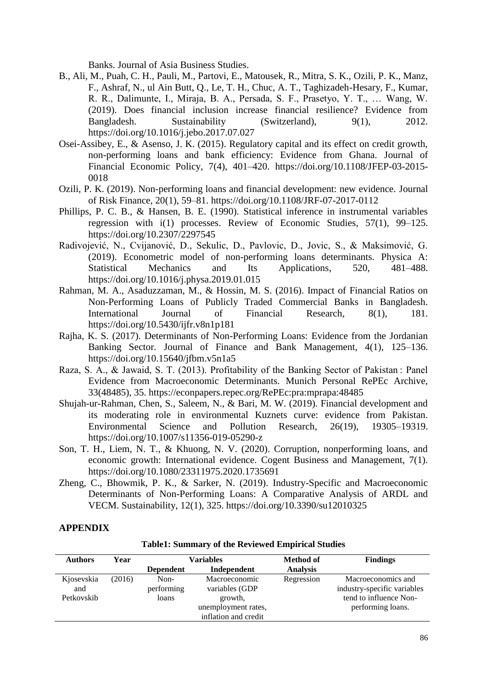Banks. Journal of Asia Business Studies.

- B., Ali, M., Puah, C. H., Pauli, M., Partovi, E., Matousek, R., Mitra, S. K., Ozili, P. K., Manz, F., Ashraf, N., ul Ain Butt, Q., Le, T. H., Chuc, A. T., Taghizadeh-Hesary, F., Kumar, R. R., Dalimunte, I., Miraja, B. A., Persada, S. F., Prasetyo, Y. T., … Wang, W. (2019). Does financial inclusion increase financial resilience? Evidence from Bangladesh. Sustainability (Switzerland), 9(1), 2012. https://doi.org/10.1016/j.jebo.2017.07.027
- Osei-Assibey, E., & Asenso, J. K. (2015). Regulatory capital and its effect on credit growth, non-performing loans and bank efficiency: Evidence from Ghana. Journal of Financial Economic Policy, 7(4), 401–420. https://doi.org/10.1108/JFEP-03-2015- 0018
- Ozili, P. K. (2019). Non-performing loans and financial development: new evidence. Journal of Risk Finance, 20(1), 59–81. https://doi.org/10.1108/JRF-07-2017-0112
- Phillips, P. C. B., & Hansen, B. E. (1990). Statistical inference in instrumental variables regression with i(1) processes. Review of Economic Studies, 57(1), 99–125. https://doi.org/10.2307/2297545
- Radivojević, N., Cvijanović, D., Sekulic, D., Pavlovic, D., Jovic, S., & Maksimović, G. (2019). Econometric model of non-performing loans determinants. Physica A: Statistical Mechanics and Its Applications, 520, 481–488. https://doi.org/10.1016/j.physa.2019.01.015
- Rahman, M. A., Asaduzzaman, M., & Hossin, M. S. (2016). Impact of Financial Ratios on Non-Performing Loans of Publicly Traded Commercial Banks in Bangladesh. International Journal of Financial Research, 8(1), 181. https://doi.org/10.5430/ijfr.v8n1p181
- Rajha, K. S. (2017). Determinants of Non-Performing Loans: Evidence from the Jordanian Banking Sector. Journal of Finance and Bank Management, 4(1), 125–136. https://doi.org/10.15640/jfbm.v5n1a5
- Raza, S. A., & Jawaid, S. T. (2013). Profitability of the Banking Sector of Pakistan : Panel Evidence from Macroeconomic Determinants. Munich Personal RePEc Archive, 33(48485), 35. https://econpapers.repec.org/RePEc:pra:mprapa:48485
- Shujah-ur-Rahman, Chen, S., Saleem, N., & Bari, M. W. (2019). Financial development and its moderating role in environmental Kuznets curve: evidence from Pakistan. Environmental Science and Pollution Research, 26(19), 19305–19319. https://doi.org/10.1007/s11356-019-05290-z
- Son, T. H., Liem, N. T., & Khuong, N. V. (2020). Corruption, nonperforming loans, and economic growth: International evidence. Cogent Business and Management, 7(1). https://doi.org/10.1080/23311975.2020.1735691
- Zheng, C., Bhowmik, P. K., & Sarker, N. (2019). Industry-Specific and Macroeconomic Determinants of Non-Performing Loans: A Comparative Analysis of ARDL and VECM. Sustainability, 12(1), 325. https://doi.org/10.3390/su12010325

### **APPENDIX**

| <b>Authors</b> | Year   | Variables        |                      | <b>Method of</b> | <b>Findings</b>             |
|----------------|--------|------------------|----------------------|------------------|-----------------------------|
|                |        | <b>Dependent</b> | Independent          | <b>Analysis</b>  |                             |
| Kjosevskia     | (2016) | Non-             | Macroeconomic        | Regression       | Macroeconomics and          |
| and            |        | performing       | variables (GDP       |                  | industry-specific variables |
| Petkovskib     |        | loans            | growth,              |                  | tend to influence Non-      |
|                |        |                  | unemployment rates,  |                  | performing loans.           |
|                |        |                  | inflation and credit |                  |                             |

**Table1: Summary of the Reviewed Empirical Studies**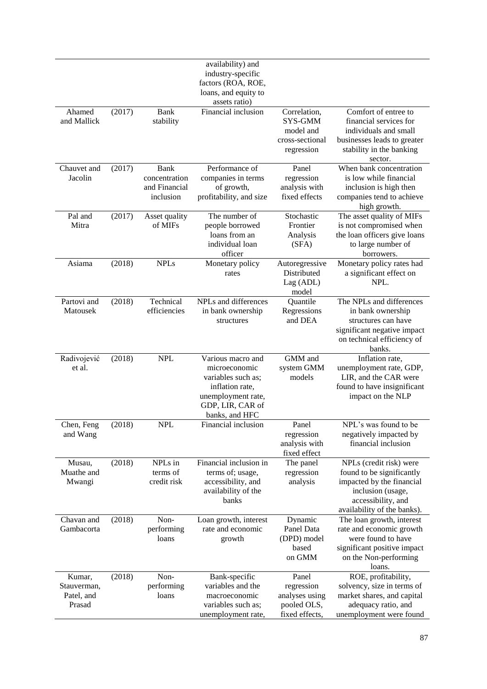|                                               |        |                                                     | availability) and<br>industry-specific<br>factors (ROA, ROE,<br>loans, and equity to<br>assets ratio)                                   |                                                                        |                                                                                                                                                             |
|-----------------------------------------------|--------|-----------------------------------------------------|-----------------------------------------------------------------------------------------------------------------------------------------|------------------------------------------------------------------------|-------------------------------------------------------------------------------------------------------------------------------------------------------------|
| Ahamed<br>and Mallick                         | (2017) | Bank<br>stability                                   | Financial inclusion                                                                                                                     | Correlation,<br>SYS-GMM<br>model and<br>cross-sectional<br>regression  | Comfort of entree to<br>financial services for<br>individuals and small<br>businesses leads to greater<br>stability in the banking<br>sector.               |
| Chauvet and<br>Jacolin                        | (2017) | Bank<br>concentration<br>and Financial<br>inclusion | Performance of<br>companies in terms<br>of growth,<br>profitability, and size                                                           | Panel<br>regression<br>analysis with<br>fixed effects                  | When bank concentration<br>is low while financial<br>inclusion is high then<br>companies tend to achieve<br>high growth.                                    |
| Pal and<br>Mitra                              | (2017) | Asset quality<br>of MIFs                            | The number of<br>people borrowed<br>loans from an<br>individual loan<br>officer                                                         | Stochastic<br>Frontier<br>Analysis<br>(SFA)                            | The asset quality of MIFs<br>is not compromised when<br>the loan officers give loans<br>to large number of<br>borrowers.                                    |
| Asiama                                        | (2018) | <b>NPLs</b>                                         | Monetary policy<br>rates                                                                                                                | Autoregressive<br>Distributed<br>Lag (ADL)<br>model                    | Monetary policy rates had<br>a significant effect on<br>NPL.                                                                                                |
| Partovi and<br>Matousek                       | (2018) | Technical<br>efficiencies                           | NPLs and differences<br>in bank ownership<br>structures                                                                                 | Quantile<br>Regressions<br>and DEA                                     | The NPLs and differences<br>in bank ownership<br>structures can have<br>significant negative impact<br>on technical efficiency of<br>banks.                 |
| Radivojević<br>et al.                         | (2018) | <b>NPL</b>                                          | Various macro and<br>microeconomic<br>variables such as;<br>inflation rate,<br>unemployment rate,<br>GDP, LIR, CAR of<br>banks, and HFC | GMM and<br>system GMM<br>models                                        | Inflation rate,<br>unemployment rate, GDP,<br>LIR, and the CAR were<br>found to have insignificant<br>impact on the NLP                                     |
| Chen, Feng<br>and Wang                        | (2018) | <b>NPL</b>                                          | Financial inclusion                                                                                                                     | Panel<br>regression<br>analysis with<br>fixed effect                   | NPL's was found to be<br>negatively impacted by<br>financial inclusion                                                                                      |
| Musau,<br>Muathe and<br>Mwangi                | (2018) | NPLs in<br>terms of<br>credit risk                  | Financial inclusion in<br>terms of; usage,<br>accessibility, and<br>availability of the<br>banks                                        | The panel<br>regression<br>analysis                                    | NPLs (credit risk) were<br>found to be significantly<br>impacted by the financial<br>inclusion (usage,<br>accessibility, and<br>availability of the banks). |
| Chavan and<br>Gambacorta                      | (2018) | Non-<br>performing<br>loans                         | Loan growth, interest<br>rate and economic<br>growth                                                                                    | Dynamic<br>Panel Data<br>(DPD) model<br>based<br>on GMM                | The loan growth, interest<br>rate and economic growth<br>were found to have<br>significant positive impact<br>on the Non-performing<br>loans.               |
| Kumar,<br>Stauverman,<br>Patel, and<br>Prasad | (2018) | Non-<br>performing<br>loans                         | Bank-specific<br>variables and the<br>macroeconomic<br>variables such as;<br>unemployment rate,                                         | Panel<br>regression<br>analyses using<br>pooled OLS,<br>fixed effects, | ROE, profitability,<br>solvency, size in terms of<br>market shares, and capital<br>adequacy ratio, and<br>unemployment were found                           |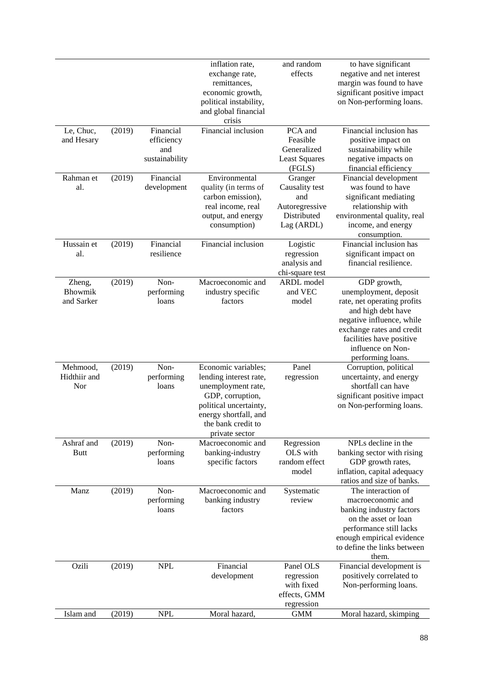|                                        |        |                                                  | inflation rate,<br>exchange rate,<br>remittances,<br>economic growth,<br>political instability,<br>and global financial<br>crisis                                                  | and random<br>effects                                                           | to have significant<br>negative and net interest<br>margin was found to have<br>significant positive impact<br>on Non-performing loans.                                                                                   |
|----------------------------------------|--------|--------------------------------------------------|------------------------------------------------------------------------------------------------------------------------------------------------------------------------------------|---------------------------------------------------------------------------------|---------------------------------------------------------------------------------------------------------------------------------------------------------------------------------------------------------------------------|
| Le, Chuc,<br>and Hesary                | (2019) | Financial<br>efficiency<br>and<br>sustainability | Financial inclusion                                                                                                                                                                | PCA and<br>Feasible<br>Generalized<br><b>Least Squares</b><br>(FGLS)            | Financial inclusion has<br>positive impact on<br>sustainability while<br>negative impacts on<br>financial efficiency                                                                                                      |
| Rahman et<br>al.                       | (2019) | Financial<br>development                         | Environmental<br>quality (in terms of<br>carbon emission),<br>real income, real<br>output, and energy<br>consumption)                                                              | Granger<br>Causality test<br>and<br>Autoregressive<br>Distributed<br>Lag (ARDL) | Financial development<br>was found to have<br>significant mediating<br>relationship with<br>environmental quality, real<br>income, and energy<br>consumption.                                                             |
| Hussain et<br>al.                      | (2019) | Financial<br>resilience                          | Financial inclusion                                                                                                                                                                | Logistic<br>regression<br>analysis and<br>chi-square test                       | Financial inclusion has<br>significant impact on<br>financial resilience.                                                                                                                                                 |
| Zheng,<br><b>Bhowmik</b><br>and Sarker | (2019) | Non-<br>performing<br>loans                      | Macroeconomic and<br>industry specific<br>factors                                                                                                                                  | ARDL model<br>and VEC<br>model                                                  | GDP growth,<br>unemployment, deposit<br>rate, net operating profits<br>and high debt have<br>negative influence, while<br>exchange rates and credit<br>facilities have positive<br>influence on Non-<br>performing loans. |
| Mehmood,<br>Hidthiir and<br>Nor        | (2019) | Non-<br>performing<br>loans                      | Economic variables;<br>lending interest rate,<br>unemployment rate,<br>GDP, corruption,<br>political uncertainty,<br>energy shortfall, and<br>the bank credit to<br>private sector | Panel<br>regression                                                             | Corruption, political<br>uncertainty, and energy<br>shortfall can have<br>significant positive impact<br>on Non-performing loans.                                                                                         |
| Ashraf and<br><b>Butt</b>              | (2019) | Non-<br>performing<br>loans                      | Macroeconomic and<br>banking-industry<br>specific factors                                                                                                                          | Regression<br>OLS with<br>random effect<br>model                                | NPLs decline in the<br>banking sector with rising<br>GDP growth rates,<br>inflation, capital adequacy<br>ratios and size of banks.                                                                                        |
| Manz                                   | (2019) | Non-<br>performing<br>loans                      | Macroeconomic and<br>banking industry<br>factors                                                                                                                                   | Systematic<br>review                                                            | The interaction of<br>macroeconomic and<br>banking industry factors<br>on the asset or loan<br>performance still lacks<br>enough empirical evidence<br>to define the links between<br>them.                               |
| Ozili                                  | (2019) | <b>NPL</b>                                       | Financial<br>development                                                                                                                                                           | Panel OLS<br>regression<br>with fixed<br>effects, GMM<br>regression             | Financial development is<br>positively correlated to<br>Non-performing loans.                                                                                                                                             |
| Islam and                              | (2019) | <b>NPL</b>                                       | Moral hazard,                                                                                                                                                                      | <b>GMM</b>                                                                      | Moral hazard, skimping                                                                                                                                                                                                    |